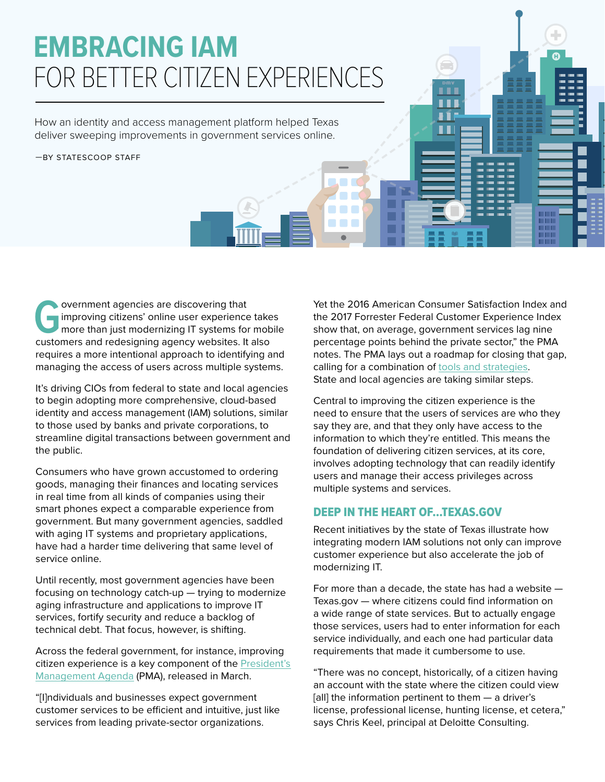# **EMBRACING IAM** FOR BETTER CITIZEN EXPERIENCES

How an identity and access management platform helped Texas deliver sweeping improvements in government services online.

—BY STATESCOOP STAFF

**G**overnment agencies are discovering that<br>
improving citizens' online user experience<br>
more than just modernizing IT systems for<br>
customers and redesigning agency websites improving citizens' online user experience takes more than just modernizing IT systems for mobile customers and redesigning agency websites. It also requires a more intentional approach to identifying and managing the access of users across multiple systems.

It's driving CIOs from federal to state and local agencies to begin adopting more comprehensive, cloud-based identity and access management (IAM) solutions, similar to those used by banks and private corporations, to streamline digital transactions between government and the public.

Consumers who have grown accustomed to ordering goods, managing their finances and locating services in real time from all kinds of companies using their smart phones expect a comparable experience from government. But many government agencies, saddled with aging IT systems and proprietary applications, have had a harder time delivering that same level of service online.

Until recently, most government agencies have been focusing on technology catch-up — trying to modernize aging infrastructure and applications to improve IT services, fortify security and reduce a backlog of technical debt. That focus, however, is shifting.

Across the federal government, for instance, improving citizen experience is a key component of the [President's](https://www.whitehouse.gov/omb/management/pma/)  [Management Agenda](https://www.whitehouse.gov/omb/management/pma/) (PMA), released in March.

"[I]ndividuals and businesses expect government customer services to be efficient and intuitive, just like services from leading private-sector organizations.

Yet the 2016 American Consumer Satisfaction Index and the 2017 Forrester Federal Customer Experience Index show that, on average, government services lag nine percentage points behind the private sector," the PMA notes. The PMA lays out a roadmap for closing that gap, calling for a combination of [tools and strategies](https://www.performance.gov/CAP/action_plans/FY2018_Q3_Improving_Customer_Experience.pdf). State and local agencies are taking similar steps.

. . . Ħ **H** 

₲

Central to improving the citizen experience is the need to ensure that the users of services are who they say they are, and that they only have access to the information to which they're entitled. This means the foundation of delivering citizen services, at its core, involves adopting technology that can readily identify users and manage their access privileges across multiple systems and services.

#### DEEP IN THE HEART OF…TEXAS.GOV

Recent initiatives by the state of Texas illustrate how integrating modern IAM solutions not only can improve customer experience but also accelerate the job of modernizing IT.

For more than a decade, the state has had a website — Texas.gov — where citizens could find information on a wide range of state services. But to actually engage those services, users had to enter information for each service individually, and each one had particular data requirements that made it cumbersome to use.

"There was no concept, historically, of a citizen having an account with the state where the citizen could view [all] the information pertinent to them - a driver's license, professional license, hunting license, et cetera," says Chris Keel, principal at Deloitte Consulting.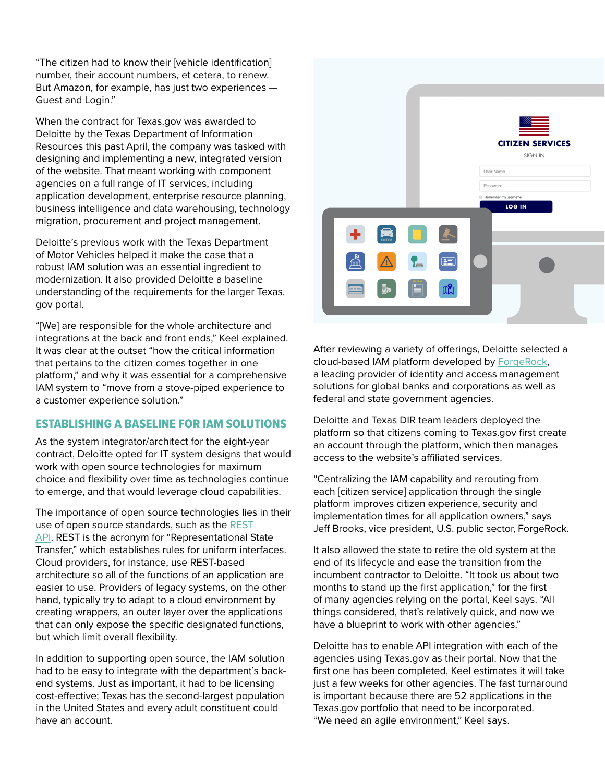"The citizen had to know their [vehicle identification] number, their account numbers, et cetera, to renew. But Amazon, for example, has just two experiences — Guest and Login."

When the contract for Texas.gov was awarded to Deloitte by the Texas Department of Information Resources this past April, the company was tasked with designing and implementing a new, integrated version of the website. That meant working with component agencies on a full range of IT services, including application development, enterprise resource planning, business intelligence and data warehousing, technology migration, procurement and project management.

Deloitte's previous work with the Texas Department of Motor Vehicles helped it make the case that a robust IAM solution was an essential ingredient to modernization. It also provided Deloitte a baseline understanding of the requirements for the larger Texas. gov portal.

"[We] are responsible for the whole architecture and integrations at the back and front ends," Keel explained. It was clear at the outset "how the critical information that pertains to the citizen comes together in one platform," and why it was essential for a comprehensive IAM system to "move from a stove-piped experience to a customer experience solution."

#### ESTABLISHING A BASELINE FOR IAM SOLUTIONS

As the system integrator/architect for the eight-year contract, Deloitte opted for IT system designs that would work with open source technologies for maximum choice and flexibility over time as technologies continue to emerge, and that would leverage cloud capabilities.

The importance of open source technologies lies in their use of open source standards, such as the [REST](https://www.quora.com/What-is-a-REST-API) [API.](https://www.quora.com/What-is-a-REST-API) REST is the acronym for "Representational State Transfer," which establishes rules for uniform interfaces. Cloud providers, for instance, use REST-based architecture so all of the functions of an application are easier to use. Providers of legacy systems, on the other hand, typically try to adapt to a cloud environment by creating wrappers, an outer layer over the applications that can only expose the specific designated functions, but which limit overall flexibility.

In addition to supporting open source, the IAM solution had to be easy to integrate with the department's backend systems. Just as important, it had to be licensing cost-effective; Texas has the second-largest population in the United States and every adult constituent could have an account.



After reviewing a variety of offerings, Deloitte selected a cloud-based IAM platform developed by [ForgeRock,](https://www.forgerock.com/) a leading provider of identity and access management solutions for global banks and corporations as well as federal and state government agencies.

Deloitte and Texas DIR team leaders deployed the platform so that citizens coming to Texas.gov first create an account through the platform, which then manages access to the website's affiliated services.

"Centralizing the IAM capability and rerouting from each [citizen service] application through the single platform improves citizen experience, security and implementation times for all application owners," says Jeff Brooks, vice president, U.S. public sector, ForgeRock.

It also allowed the state to retire the old system at the end of its lifecycle and ease the transition from the incumbent contractor to Deloitte. "It took us about two months to stand up the first application," for the first of many agencies relying on the portal, Keel says. "All things considered, that's relatively quick, and now we have a blueprint to work with other agencies."

Deloitte has to enable API integration with each of the agencies using Texas.gov as their portal. Now that the first one has been completed, Keel estimates it will take just a few weeks for other agencies. The fast turnaround is important because there are 52 applications in the Texas.gov portfolio that need to be incorporated. "We need an agile environment," Keel says.